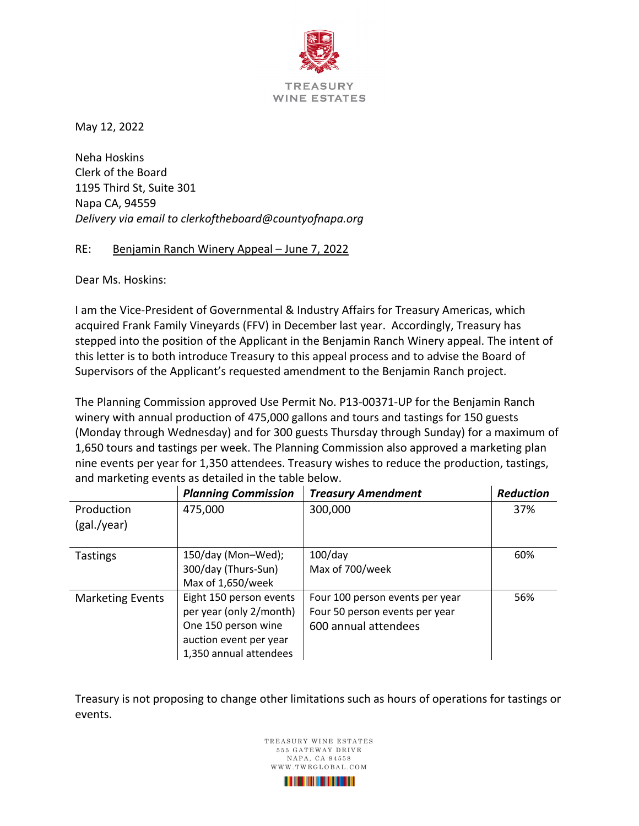

May 12, 2022

Neha Hoskins Clerk of the Board 1195 Third St, Suite 301 Napa CA, 94559 *Delivery via email to clerkoftheboard@countyofnapa.org*

## RE: Benjamin Ranch Winery Appeal – June 7, 2022

Dear Ms. Hoskins:

I am the Vice-President of Governmental & Industry Affairs for Treasury Americas, which acquired Frank Family Vineyards (FFV) in December last year. Accordingly, Treasury has stepped into the position of the Applicant in the Benjamin Ranch Winery appeal. The intent of this letter is to both introduce Treasury to this appeal process and to advise the Board of Supervisors of the Applicant's requested amendment to the Benjamin Ranch project.

The Planning Commission approved Use Permit No. P13-00371-UP for the Benjamin Ranch winery with annual production of 475,000 gallons and tours and tastings for 150 guests (Monday through Wednesday) and for 300 guests Thursday through Sunday) for a maximum of 1,650 tours and tastings per week. The Planning Commission also approved a marketing plan nine events per year for 1,350 attendees. Treasury wishes to reduce the production, tastings, and marketing events as detailed in the table below.

|                         | <b>Planning Commission</b> | <b>Treasury Amendment</b>       | <b>Reduction</b> |
|-------------------------|----------------------------|---------------------------------|------------------|
| Production              | 475,000                    | 300,000                         | 37%              |
| (gal./year)             |                            |                                 |                  |
| <b>Tastings</b>         | 150/day (Mon-Wed);         | $100$ /day                      | 60%              |
|                         | 300/day (Thurs-Sun)        | Max of 700/week                 |                  |
|                         | Max of 1,650/week          |                                 |                  |
| <b>Marketing Events</b> | Eight 150 person events    | Four 100 person events per year | 56%              |
|                         | per year (only 2/month)    | Four 50 person events per year  |                  |
|                         | One 150 person wine        | 600 annual attendees            |                  |
|                         | auction event per year     |                                 |                  |
|                         | 1,350 annual attendees     |                                 |                  |

Treasury is not proposing to change other limitations such as hours of operations for tastings or events.